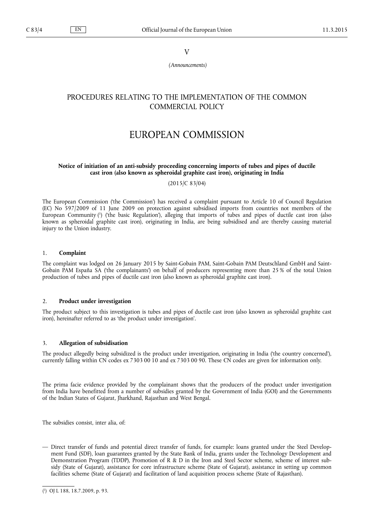V

*(Announcements)*

## PROCEDURES RELATING TO THE IMPLEMENTATION OF THE COMMON COMMERCIAL POLICY

# EUROPEAN COMMISSION

## **Notice of initiation of an anti-subsidy proceeding concerning imports of tubes and pipes of ductile cast iron (also known as spheroidal graphite cast iron), originating in India**

(2015/C 83/04)

The European Commission ('the Commission') has received a complaint pursuant to Article 10 of Council Regulation (EC) No 597/2009 of 11 June 2009 on protection against subsidised imports from countries not members of the European Community ( 1 ) ('the basic Regulation'), alleging that imports of tubes and pipes of ductile cast iron (also known as spheroidal graphite cast iron), originating in India, are being subsidised and are thereby causing material injury to the Union industry.

## 1. **Complaint**

The complaint was lodged on 26 January 2015 by Saint-Gobain PAM, Saint-Gobain PAM Deutschland GmbH and Saint-Gobain PAM España SA ('the complainants') on behalf of producers representing more than 25 % of the total Union production of tubes and pipes of ductile cast iron (also known as spheroidal graphite cast iron).

## 2. **Product under investigation**

The product subject to this investigation is tubes and pipes of ductile cast iron (also known as spheroidal graphite cast iron), hereinafter referred to as 'the product under investigation'.

#### 3. **Allegation of subsidisation**

The product allegedly being subsidized is the product under investigation, originating in India ('the country concerned'), currently falling within CN codes ex 7303 00 10 and ex 7303 00 90. These CN codes are given for information only.

The prima facie evidence provided by the complainant shows that the producers of the product under investigation from India have benefitted from a number of subsidies granted by the Government of India (GOI) and the Governments of the Indian States of Gujarat, Jharkhand, Rajasthan and West Bengal.

The subsidies consist, inter alia, of:

— Direct transfer of funds and potential direct transfer of funds, for example: loans granted under the Steel Development Fund (SDF), loan guarantees granted by the State Bank of India, grants under the Technology Development and Demonstration Program (TDDP), Promotion of R & D in the Iron and Steel Sector scheme, scheme of interest subsidy (State of Gujarat), assistance for core infrastructure scheme (State of Gujarat), assistance in setting up common facilities scheme (State of Gujarat) and facilitation of land acquisition process scheme (State of Rajasthan).

<sup>(</sup> 1 ) OJ L 188, 18.7.2009, p. 93.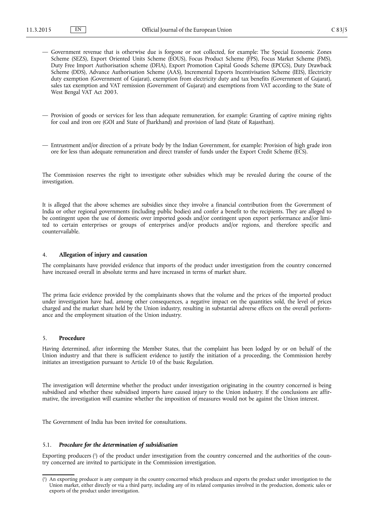- Government revenue that is otherwise due is forgone or not collected, for example: The Special Economic Zones Scheme (SEZS), Export Oriented Units Scheme (EOUS), Focus Product Scheme (FPS), Focus Market Scheme (FMS), Duty Free Import Authorisation scheme (DFIA), Export Promotion Capital Goods Scheme (EPCGS), Duty Drawback Scheme (DDS), Advance Authorisation Scheme (AAS), Incremental Exports Incentivisation Scheme (IEIS), Electricity duty exemption (Government of Gujarat), exemption from electricity duty and tax benefits (Government of Gujarat), sales tax exemption and VAT remission (Government of Gujarat) and exemptions from VAT according to the State of West Bengal VAT Act 2003.
- Provision of goods or services for less than adequate remuneration, for example: Granting of captive mining rights for coal and iron ore (GOI and State of Jharkhand) and provision of land (State of Rajasthan).
- Entrustment and/or direction of a private body by the Indian Government, for example: Provision of high grade iron ore for less than adequate remuneration and direct transfer of funds under the Export Credit Scheme (ECS).

The Commission reserves the right to investigate other subsidies which may be revealed during the course of the investigation.

It is alleged that the above schemes are subsidies since they involve a financial contribution from the Government of India or other regional governments (including public bodies) and confer a benefit to the recipients. They are alleged to be contingent upon the use of domestic over imported goods and/or contingent upon export performance and/or limited to certain enterprises or groups of enterprises and/or products and/or regions, and therefore specific and countervailable.

## 4. **Allegation of injury and causation**

The complainants have provided evidence that imports of the product under investigation from the country concerned have increased overall in absolute terms and have increased in terms of market share.

The prima facie evidence provided by the complainants shows that the volume and the prices of the imported product under investigation have had, among other consequences, a negative impact on the quantities sold, the level of prices charged and the market share held by the Union industry, resulting in substantial adverse effects on the overall performance and the employment situation of the Union industry.

#### 5. **Procedure**

Having determined, after informing the Member States, that the complaint has been lodged by or on behalf of the Union industry and that there is sufficient evidence to justify the initiation of a proceeding, the Commission hereby initiates an investigation pursuant to Article 10 of the basic Regulation.

The investigation will determine whether the product under investigation originating in the country concerned is being subsidised and whether these subsidised imports have caused injury to the Union industry. If the conclusions are affirmative, the investigation will examine whether the imposition of measures would not be against the Union interest.

The Government of India has been invited for consultations.

#### 5.1. *Procedure for the determination of subsidisation*

Exporting producers (<sup>1</sup>) of the product under investigation from the country concerned and the authorities of the country concerned are invited to participate in the Commission investigation.

<sup>(</sup> 1 ) An exporting producer is any company in the country concerned which produces and exports the product under investigation to the Union market, either directly or via a third party, including any of its related companies involved in the production, domestic sales or exports of the product under investigation.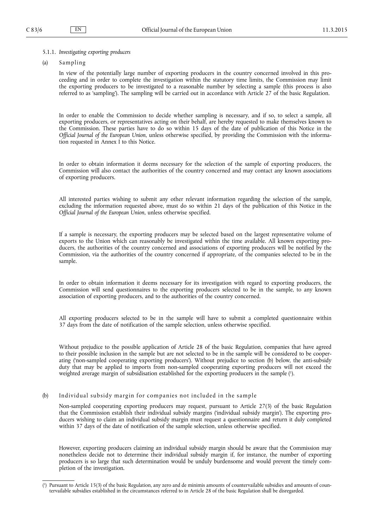## 5.1.1. *Investigating exporting producers*

(a) Sampling

In view of the potentially large number of exporting producers in the country concerned involved in this proceeding and in order to complete the investigation within the statutory time limits, the Commission may limit the exporting producers to be investigated to a reasonable number by selecting a sample (this process is also referred to as 'sampling'). The sampling will be carried out in accordance with Article 27 of the basic Regulation.

In order to enable the Commission to decide whether sampling is necessary, and if so, to select a sample, all exporting producers, or representatives acting on their behalf, are hereby requested to make themselves known to the Commission. These parties have to do so within 15 days of the date of publication of this Notice in the *Official Journal of the European Union*, unless otherwise specified, by providing the Commission with the information requested in Annex I to this Notice.

In order to obtain information it deems necessary for the selection of the sample of exporting producers, the Commission will also contact the authorities of the country concerned and may contact any known associations of exporting producers.

All interested parties wishing to submit any other relevant information regarding the selection of the sample, excluding the information requested above, must do so within 21 days of the publication of this Notice in the *Official Journal of the European Union*, unless otherwise specified.

If a sample is necessary, the exporting producers may be selected based on the largest representative volume of exports to the Union which can reasonably be investigated within the time available. All known exporting producers, the authorities of the country concerned and associations of exporting producers will be notified by the Commission, via the authorities of the country concerned if appropriate, of the companies selected to be in the sample.

In order to obtain information it deems necessary for its investigation with regard to exporting producers, the Commission will send questionnaires to the exporting producers selected to be in the sample, to any known association of exporting producers, and to the authorities of the country concerned.

All exporting producers selected to be in the sample will have to submit a completed questionnaire within 37 days from the date of notification of the sample selection, unless otherwise specified.

Without prejudice to the possible application of Article 28 of the basic Regulation, companies that have agreed to their possible inclusion in the sample but are not selected to be in the sample will be considered to be cooperating ('non-sampled cooperating exporting producers'). Without prejudice to section (b) below, the anti-subsidy duty that may be applied to imports from non-sampled cooperating exporting producers will not exceed the weighted average margin of subsidisation established for the exporting producers in the sample (<sup>1</sup>).

## (b) Individual subsidy margin for companies not included in the sample

Non-sampled cooperating exporting producers may request, pursuant to Article 27(3) of the basic Regulation that the Commission establish their individual subsidy margins ('individual subsidy margin'). The exporting producers wishing to claim an individual subsidy margin must request a questionnaire and return it duly completed within 37 days of the date of notification of the sample selection, unless otherwise specified.

However, exporting producers claiming an individual subsidy margin should be aware that the Commission may nonetheless decide not to determine their individual subsidy margin if, for instance, the number of exporting producers is so large that such determination would be unduly burdensome and would prevent the timely completion of the investigation.

<sup>(</sup> 1 ) Pursuant to Article 15(3) of the basic Regulation, any zero and de minimis amounts of countervailable subsidies and amounts of countervailable subsidies established in the circumstances referred to in Article 28 of the basic Regulation shall be disregarded.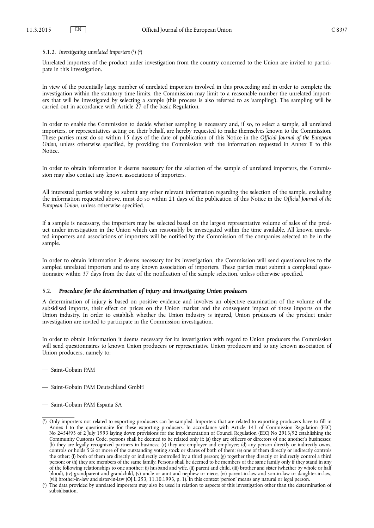#### 5.1.2. Investigating unrelated importers (1) (2)

Unrelated importers of the product under investigation from the country concerned to the Union are invited to participate in this investigation.

In view of the potentially large number of unrelated importers involved in this proceeding and in order to complete the investigation within the statutory time limits, the Commission may limit to a reasonable number the unrelated importers that will be investigated by selecting a sample (this process is also referred to as 'sampling'). The sampling will be carried out in accordance with Article 27 of the basic Regulation.

In order to enable the Commission to decide whether sampling is necessary and, if so, to select a sample, all unrelated importers, or representatives acting on their behalf, are hereby requested to make themselves known to the Commission. These parties must do so within 15 days of the date of publication of this Notice in the *Official Journal of the European Union*, unless otherwise specified, by providing the Commission with the information requested in Annex II to this **Notice** 

In order to obtain information it deems necessary for the selection of the sample of unrelated importers, the Commission may also contact any known associations of importers.

All interested parties wishing to submit any other relevant information regarding the selection of the sample, excluding the information requested above, must do so within 21 days of the publication of this Notice in the *Official Journal of the European Union*, unless otherwise specified.

If a sample is necessary, the importers may be selected based on the largest representative volume of sales of the product under investigation in the Union which can reasonably be investigated within the time available. All known unrelated importers and associations of importers will be notified by the Commission of the companies selected to be in the sample.

In order to obtain information it deems necessary for its investigation, the Commission will send questionnaires to the sampled unrelated importers and to any known association of importers. These parties must submit a completed questionnaire within 37 days from the date of the notification of the sample selection, unless otherwise specified.

## 5.2. *Procedure for the determination of injury and investigating Union producers*

A determination of injury is based on positive evidence and involves an objective examination of the volume of the subsidised imports, their effect on prices on the Union market and the consequent impact of those imports on the Union industry. In order to establish whether the Union industry is injured, Union producers of the product under investigation are invited to participate in the Commission investigation.

In order to obtain information it deems necessary for its investigation with regard to Union producers the Commission will send questionnaires to known Union producers or representative Union producers and to any known association of Union producers, namely to:

- Saint-Gobain PAM
- Saint-Gobain PAM Deutschland GmbH
- Saint-Gobain PAM España SA

<sup>(</sup> 1 ) Only importers not related to exporting producers can be sampled. Importers that are related to exporting producers have to fill in Annex I to the questionnaire for these exporting producers. In accordance with Article 143 of Commission Regulation (EEC) No 2454/93 of 2 July 1993 laying down provisions for the implementation of Council Regulation (EEC) No 2913/92 establishing the Community Customs Code, persons shall be deemed to be related only if: (a) they are officers or directors of one another's businesses; (b) they are legally recognized partners in business; (c) they are employer and employee; (d) any person directly or indirectly owns, controls or holds 5 % or more of the outstanding voting stock or shares of both of them; (e) one of them directly or indirectly controls the other; (f) both of them are directly or indirectly controlled by a third person; (g) together they directly or indirectly control a third person; or (h) they are members of the same family. Persons shall be deemed to be members of the same family only if they stand in any of the following relationships to one another: (i) husband and wife, (ii) parent and child, (iii) brother and sister (whether by whole or half blood), (iv) grandparent and grandchild, (v) uncle or aunt and nephew or niece, (vi) parent-in-law and son-in-law or daughter-in-law, (vii) brother-in-law and sister-in-law (OJ L 253, 11.10.1993, p. 1). In this context 'person' means any natural or legal person.

<sup>(</sup> 2 ) The data provided by unrelated importers may also be used in relation to aspects of this investigation other than the determination of subsidisation.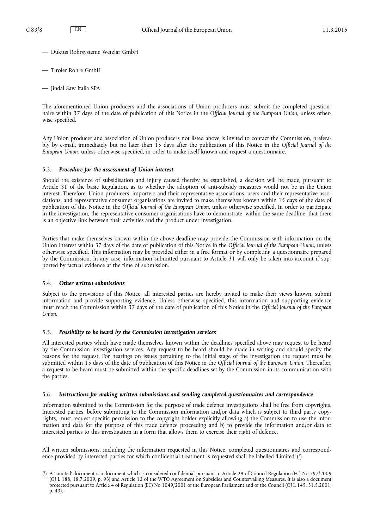- Duktus Rohrsysteme Wetzlar GmbH
- Tiroler Rohre GmbH
- Jindal Saw Italia SPA

The aforementioned Union producers and the associations of Union producers must submit the completed questionnaire within 37 days of the date of publication of this Notice in the *Official Journal of the European Union*, unless otherwise specified.

Any Union producer and association of Union producers not listed above is invited to contact the Commission, preferably by e-mail, immediately but no later than 15 days after the publication of this Notice in the *Official Journal of the European Union*, unless otherwise specified, in order to make itself known and request a questionnaire.

#### 5.3. *Procedure for the assessment of Union interest*

Should the existence of subsidisation and injury caused thereby be established, a decision will be made, pursuant to Article 31 of the basic Regulation, as to whether the adoption of anti-subsidy measures would not be in the Union interest. Therefore, Union producers, importers and their representative associations, users and their representative associations, and representative consumer organisations are invited to make themselves known within 15 days of the date of publication of this Notice in the *Official Journal of the European Union*, unless otherwise specified. In order to participate in the investigation, the representative consumer organisations have to demonstrate, within the same deadline, that there is an objective link between their activities and the product under investigation.

Parties that make themselves known within the above deadline may provide the Commission with information on the Union interest within 37 days of the date of publication of this Notice in the *Official Journal of the European Union*, unless otherwise specified. This information may be provided either in a free format or by completing a questionnaire prepared by the Commission. In any case, information submitted pursuant to Article 31 will only be taken into account if supported by factual evidence at the time of submission.

#### 5.4. *Other written submissions*

Subject to the provisions of this Notice, all interested parties are hereby invited to make their views known, submit information and provide supporting evidence. Unless otherwise specified, this information and supporting evidence must reach the Commission within 37 days of the date of publication of this Notice in the *Official Journal of the European Union*.

#### 5.5. *Possibility to be heard by the Commission investigation services*

All interested parties which have made themselves known within the deadlines specified above may request to be heard by the Commission investigation services. Any request to be heard should be made in writing and should specify the reasons for the request. For hearings on issues pertaining to the initial stage of the investigation the request must be submitted within 15 days of the date of publication of this Notice in the *Official Journal of the European Union*. Thereafter, a request to be heard must be submitted within the specific deadlines set by the Commission in its communication with the parties.

## 5.6. *Instructions for making written submissions and sending completed questionnaires and correspondence*

Information submitted to the Commission for the purpose of trade defence investigations shall be free from copyrights. Interested parties, before submitting to the Commission information and/or data which is subject to third party copyrights, must request specific permission to the copyright holder explicitly allowing a) the Commission to use the information and data for the purpose of this trade defence proceeding and b) to provide the information and/or data to interested parties to this investigation in a form that allows them to exercise their right of defence.

All written submissions, including the information requested in this Notice, completed questionnaires and correspondence provided by interested parties for which confidential treatment is requested shall be labelled 'Limited' ( 1 ).

<sup>(</sup> 1 ) A 'Limited' document is a document which is considered confidential pursuant to Article 29 of Council Regulation (EC) No 597/2009 (OJ L 188, 18.7.2009, p. 93) and Article 12 of the WTO Agreement on Subsidies and Countervailing Measures. It is also a document protected pursuant to Article 4 of Regulation (EC) No 1049/2001 of the European Parliament and of the Council (OJ L 145, 31.5.2001, p. 43).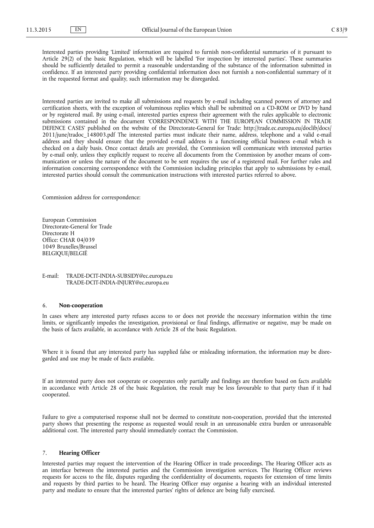Interested parties providing 'Limited' information are required to furnish non-confidential summaries of it pursuant to Article 29(2) of the basic Regulation, which will be labelled 'For inspection by interested parties'. These summaries should be sufficiently detailed to permit a reasonable understanding of the substance of the information submitted in confidence. If an interested party providing confidential information does not furnish a non-confidential summary of it in the requested format and quality, such information may be disregarded.

Interested parties are invited to make all submissions and requests by e-mail including scanned powers of attorney and certification sheets, with the exception of voluminous replies which shall be submitted on a CD-ROM or DVD by hand or by registered mail. By using e-mail, interested parties express their agreement with the rules applicable to electronic submissions contained in the document 'CORRESPONDENCE WITH THE EUROPEAN COMMISSION IN TRADE DEFENCE CASES' published on the website of the Directorate-General for Trade: [http://trade.ec.europa.eu/doclib/docs/](http://trade.ec.europa.eu/doclib/docs/2011/june/tradoc_148003.pdf) [2011/june/tradoc\\_148003.pdf](http://trade.ec.europa.eu/doclib/docs/2011/june/tradoc_148003.pdf) The interested parties must indicate their name, address, telephone and a valid e-mail address and they should ensure that the provided e-mail address is a functioning official business e-mail which is checked on a daily basis. Once contact details are provided, the Commission will communicate with interested parties by e-mail only, unless they explicitly request to receive all documents from the Commission by another means of communication or unless the nature of the document to be sent requires the use of a registered mail. For further rules and information concerning correspondence with the Commission including principles that apply to submissions by e-mail, interested parties should consult the communication instructions with interested parties referred to above.

Commission address for correspondence:

European Commission Directorate-General for Trade Directorate H Office: CHAR 04/039 1049 Bruxelles/Brussel BELGIQUE/BELGIË

E-mail: [TRADE-DCIT-INDIA-SUBSIDY@ec.europa.eu](mailto:TRADE-DCIT-INDIA-SUBSIDY@ec.europa.eu) [TRADE-DCIT-INDIA-INJURY@ec.europa.eu](mailto:TRADE-DCIT-INDIA-INJURY@ec.europa.eu)

## 6. **Non-cooperation**

In cases where any interested party refuses access to or does not provide the necessary information within the time limits, or significantly impedes the investigation, provisional or final findings, affirmative or negative, may be made on the basis of facts available, in accordance with Article 28 of the basic Regulation.

Where it is found that any interested party has supplied false or misleading information, the information may be disregarded and use may be made of facts available.

If an interested party does not cooperate or cooperates only partially and findings are therefore based on facts available in accordance with Article 28 of the basic Regulation, the result may be less favourable to that party than if it had cooperated.

Failure to give a computerised response shall not be deemed to constitute non-cooperation, provided that the interested party shows that presenting the response as requested would result in an unreasonable extra burden or unreasonable additional cost. The interested party should immediately contact the Commission.

## 7. **Hearing Officer**

Interested parties may request the intervention of the Hearing Officer in trade proceedings. The Hearing Officer acts as an interface between the interested parties and the Commission investigation services. The Hearing Officer reviews requests for access to the file, disputes regarding the confidentiality of documents, requests for extension of time limits and requests by third parties to be heard. The Hearing Officer may organise a hearing with an individual interested party and mediate to ensure that the interested parties' rights of defence are being fully exercised.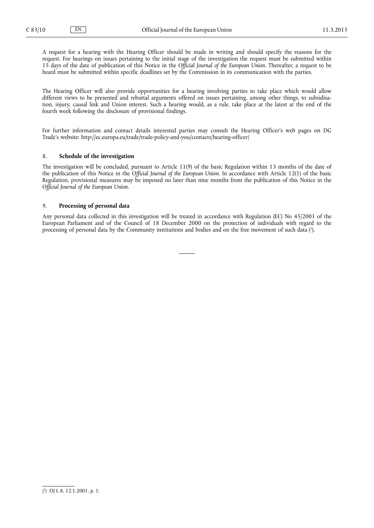A request for a hearing with the Hearing Officer should be made in writing and should specify the reasons for the request. For hearings on issues pertaining to the initial stage of the investigation the request must be submitted within 15 days of the date of publication of this Notice in the *Official Journal of the European Union*. Thereafter, a request to be heard must be submitted within specific deadlines set by the Commission in its communication with the parties.

The Hearing Officer will also provide opportunities for a hearing involving parties to take place which would allow different views to be presented and rebuttal arguments offered on issues pertaining, among other things, to subsidisation, injury, causal link and Union interest. Such a hearing would, as a rule, take place at the latest at the end of the fourth week following the disclosure of provisional findings.

For further information and contact details interested parties may consult the Hearing Officer's web pages on DG Trade's website: <http://ec.europa.eu/trade/trade-policy-and-you/contacts/hearing-officer/>

## 8. **Schedule of the investigation**

The investigation will be concluded, pursuant to Article 11(9) of the basic Regulation within 13 months of the date of the publication of this Notice in the *Official Journal of the European Union*. In accordance with Article 12(1) of the basic Regulation, provisional measures may be imposed no later than nine months from the publication of this Notice in the *Official Journal of the European Union*.

### 9. **Processing of personal data**

Any personal data collected in this investigation will be treated in accordance with Regulation (EC) No 45/2001 of the European Parliament and of the Council of 18 December 2000 on the protection of individuals with regard to the processing of personal data by the Community institutions and bodies and on the free movement of such data (!).

<sup>(</sup> 1 ) OJ L 8, 12.1.2001, p. 1.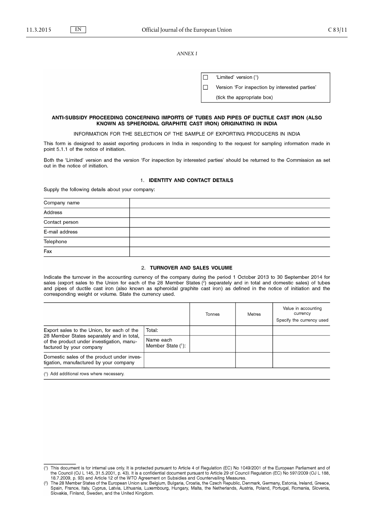**ANNEX I** 

|  | 'Limited' version (1)                          |
|--|------------------------------------------------|
|  | Version 'For inspection by interested parties' |
|  | (tick the appropriate box)                     |

## ANTI-SUBSIDY PROCEEDING CONCERNING IMPORTS OF TUBES AND PIPES OF DUCTILE CAST IRON (ALSO KNOWN AS SPHEROIDAL GRAPHITE CAST IRON) ORIGINATING IN INDIA

INFORMATION FOR THE SELECTION OF THE SAMPLE OF EXPORTING PRODUCERS IN INDIA

This form is designed to assist exporting producers in India in responding to the request for sampling information made in point 5.1.1 of the notice of initiation.

Both the 'Limited' version and the version 'For inspection by interested parties' should be returned to the Commission as set out in the notice of initiation.

#### 1. IDENTITY AND CONTACT DETAILS

Supply the following details about your company:

| Company name   |  |
|----------------|--|
| Address        |  |
| Contact person |  |
| E-mail address |  |
| Telephone      |  |
| Fax            |  |

#### 2. TURNOVER AND SALES VOLUME

Indicate the turnover in the accounting currency of the company during the period 1 October 2013 to 30 September 2014 for sales (export sales to the Union for each of the 28 Member States (2) separately and in total and domestic sales) of tubes and pipes of ductile cast iron (also known as spheroidal graphite cast iron) as defined in the notice of initiation and the corresponding weight or volume. State the currency used.

|                                                                                                                    |                                   | Tonnes | <b>Metres</b> | Value in accounting<br>currency<br>Specify the currency used |
|--------------------------------------------------------------------------------------------------------------------|-----------------------------------|--------|---------------|--------------------------------------------------------------|
| Export sales to the Union, for each of the                                                                         | Total:                            |        |               |                                                              |
| 28 Member States separately and in total,<br>of the product under investigation, manu-<br>factured by your company | Name each<br>Member State $(1)$ : |        |               |                                                              |
| Domestic sales of the product under inves-<br>tigation, manufactured by your company                               |                                   |        |               |                                                              |

(1) Add additional rows where necessary.

<sup>(1)</sup> This document is for internal use only. It is protected pursuant to Article 4 of Regulation (EC) No 1049/2001 of the European Parliament and of the Council (OJ L 145, 31.5.2001, p. 43). It is a confidential document pursuant to Article 29 of Council Regulation (EC) No 597/2009 (OJ L 188,<br>18.7.2009, p. 93) and Article 12 of the WTO Agreement on Subsidies and Counte

Slovakia, Finland, Sweden, and the United Kingdom.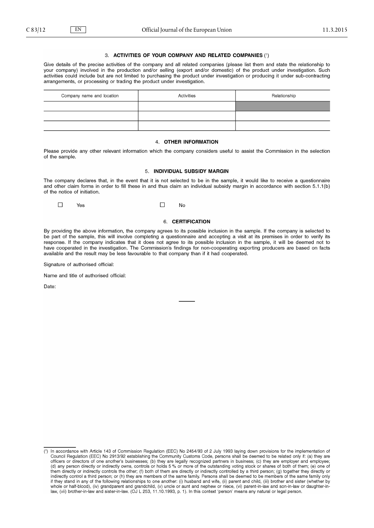### 3. ACTIVITIES OF YOUR COMPANY AND RELATED COMPANIES (1)

Give details of the precise activities of the company and all related companies (please list them and state the relationship to your company) involved in the production and/or selling (export and/or domestic) of the product under investigation. Such activities could include but are not limited to purchasing the product under investigation or producing it under sub-contracting arrangements, or processing or trading the product under investigation.

| Company name and location | Activities | Relationship |
|---------------------------|------------|--------------|
|                           |            |              |
|                           |            |              |
|                           |            |              |

#### 4. OTHER INFORMATION

Please provide any other relevant information which the company considers useful to assist the Commission in the selection of the sample.

## 5. INDIVIDUAL SUBSIDY MARGIN

The company declares that, in the event that it is not selected to be in the sample, it would like to receive a questionnaire and other claim forms in order to fill these in and thus claim an individual subsidy margin in accordance with section 5.1.1(b) of the notice of initiation.

 $\Box$  $\Box$  $No$ Yes

#### 6. CERTIFICATION

By providing the above information, the company agrees to its possible inclusion in the sample. If the company is selected to be part of the sample, this will involve completing a questionnaire and accepting a visit at its premises in order to verify its response. If the company indicates that it does not agree to its possible inclusion in the sample, it will be deemed not to have cooperated in the investigation. The Commission's findings for non-cooperating exporting producers are based on facts available and the result may be less favourable to that company than if it had cooperated.

Signature of authorised official:

Name and title of authorised official:

Date:

In accordance with Article 143 of Commission Regulation (EEC) No 2454/93 of 2 July 1993 laying down provisions for the implementation of  $(1)$ Council Regulation (EEC) No 2913/92 establishing the Community Customs Code, persons shall be deemed to be related only if: (a) they are<br>Officers or directors of one another's businesses; (b) they are legally recognized pa (d) any person directly or indirectly owns, controls or holds 5 % or more of the outstanding voting stock or shares of both of them; (e) one of (i) any person unecuty or indirectly controls be other; (f) both of them are directly or indirectly controlled by a third person; (g) bogether they directly or indirectly control a third person; or (h) they are members of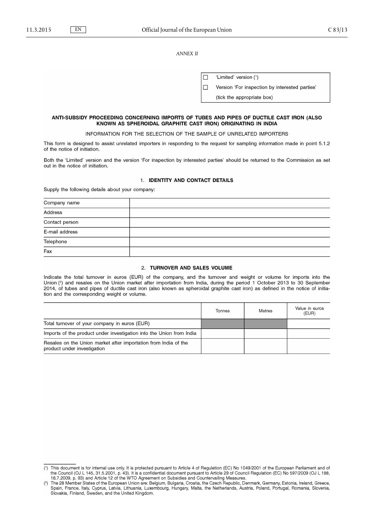*ANNEX II*

|  | 'Limited' version (1)                          |
|--|------------------------------------------------|
|  | Version 'For inspection by interested parties' |
|  | (tick the appropriate box)                     |

## ANTI-SUBSIDY PROCEEDING CONCERNING IMPORTS OF TUBES AND PIPES OF DUCTILE CAST IRON (ALSO KNOWN AS SPHEROIDAL GRAPHITE CAST IRON) ORIGINATING IN INDIA

INFORMATION FOR THE SELECTION OF THE SAMPLE OF UNRELATED IMPORTERS

This form is designed to assist unrelated importers in responding to the request for sampling information made in point 5.1.2 of the notice of initiation.

Both the 'Limited' version and the version 'For inspection by interested parties' should be returned to the Commission as set out in the notice of initiation.

#### 1. IDENTITY AND CONTACT DETAILS

Supply the following details about your company:

| Company name   |  |
|----------------|--|
| Address        |  |
| Contact person |  |
| E-mail address |  |
| Telephone      |  |
| Fax            |  |

#### 2. TURNOVER AND SALES VOLUME

Indicate the total turnover in euros (EUR) of the company, and the turnover and weight or volume for imports into the Union  $\binom{2}{1}$  and resales on the Union market after importation from India, during the period 1 October 2013 to 30 September 2014, of tubes and pipes of ductile cast iron (also known as spheroidal graphite cast iron) as defined in the notice of initiation and the corresponding weight or volume.

|                                                                                                | Tonnes | Metres | Value in euros<br>(EUR) |
|------------------------------------------------------------------------------------------------|--------|--------|-------------------------|
| Total turnover of your company in euros (EUR)                                                  |        |        |                         |
| Imports of the product under investigation into the Union from India                           |        |        |                         |
| Resales on the Union market after importation from India of the<br>product under investigation |        |        |                         |

<sup>(1)</sup> This document is for internal use only. It is protected pursuant to Article 4 of Regulation (EC) No 1049/2001 of the European Parliament and of the Council (OJ L 145, 31.5.2001, p. 43). It is a confidential document pursuant to Article 29 of Council Regulation (EC) No 597/2009 (OJ L 188,<br>18.7.2009, p. 93) and Article 12 of the WTO Agreement on Subsidies and Counte

Slovakia, Finland, Sweden, and the United Kingdom.